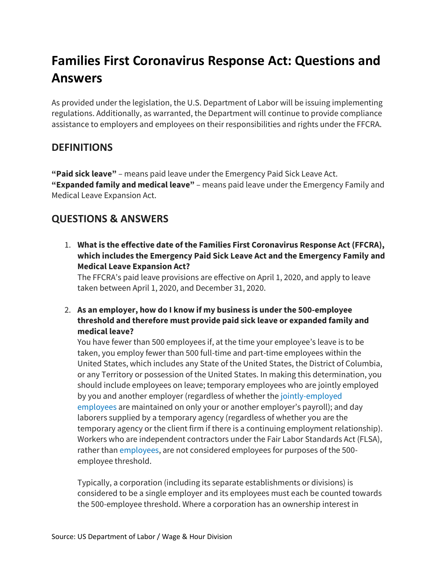# **Families First Coronavirus Response Act: Questions and Answers**

As provided under the legislation, the U.S. Department of Labor will be issuing implementing regulations. Additionally, as warranted, the Department will continue to provide compliance assistance to employers and employees on their responsibilities and rights under the FFCRA.

# **DEFINITIONS**

**"Paid sick leave"** – means paid leave under the Emergency Paid Sick Leave Act. **"Expanded family and medical leave"** – means paid leave under the Emergency Family and Medical Leave Expansion Act.

# **QUESTIONS & ANSWERS**

1. **What is the effective date of the Families First Coronavirus Response Act (FFCRA), which includes the Emergency Paid Sick Leave Act and the Emergency Family and Medical Leave Expansion Act?**

The FFCRA's paid leave provisions are effective on April 1, 2020, and apply to leave taken between April 1, 2020, and December 31, 2020.

2. **As an employer, how do I know if my business is under the 500-employee threshold and therefore must provide paid sick leave or expanded family and medical leave?**

You have fewer than 500 employees if, at the time your employee's leave is to be taken, you employ fewer than 500 full-time and part-time employees within the United States, which includes any State of the United States, the District of Columbia, or any Territory or possession of the United States. In making this determination, you should include employees on leave; temporary employees who are jointly employed by you and another employer (regardless of whether the [jointly-employed](https://www.dol.gov/agencies/whd/flsa/2020-joint-employment/fact-sheet)  [employees](https://www.dol.gov/agencies/whd/flsa/2020-joint-employment/fact-sheet) are maintained on only your or another employer's payroll); and day laborers supplied by a temporary agency (regardless of whether you are the temporary agency or the client firm if there is a continuing employment relationship). Workers who are independent contractors under the Fair Labor Standards Act (FLSA), rather than [employees,](https://www.dol.gov/agencies/whd/fact-sheets/13-flsa-employment-relationship) are not considered employees for purposes of the 500 employee threshold.

Typically, a corporation (including its separate establishments or divisions) is considered to be a single employer and its employees must each be counted towards the 500-employee threshold. Where a corporation has an ownership interest in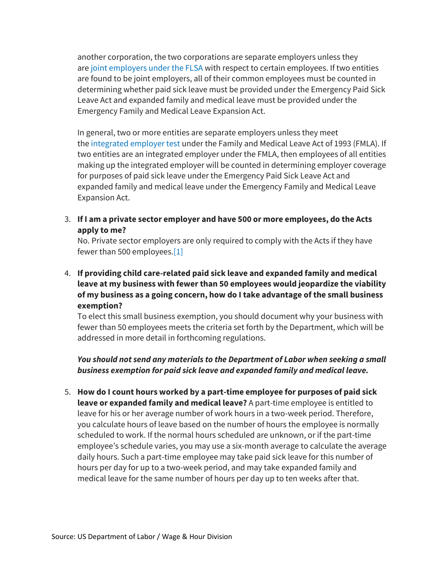another corporation, the two corporations are separate employers unless they are [joint employers under the FLSA](https://www.dol.gov/agencies/whd/flsa/2020-joint-employment/fact-sheet) with respect to certain employees. If two entities are found to be joint employers, all of their common employees must be counted in determining whether paid sick leave must be provided under the Emergency Paid Sick Leave Act and expanded family and medical leave must be provided under the Emergency Family and Medical Leave Expansion Act.

In general, two or more entities are separate employers unless they meet the [integrated employer test](https://www.dol.gov/sites/dolgov/files/WHD/legacy/files/FOH_Ch39.pdf) under the Family and Medical Leave Act of 1993 (FMLA). If two entities are an integrated employer under the FMLA, then employees of all entities making up the integrated employer will be counted in determining employer coverage for purposes of paid sick leave under the Emergency Paid Sick Leave Act and expanded family and medical leave under the Emergency Family and Medical Leave Expansion Act.

3. **If I am a private sector employer and have 500 or more employees, do the Acts apply to me?**

No. Private sector employers are only required to comply with the Acts if they have fewer than 500 employees[.\[1\]](https://www.dol.gov/agencies/whd/pandemic/ffcra-questions#_ftn1)

4. **If providing child care-related paid sick leave and expanded family and medical leave at my business with fewer than 50 employees would jeopardize the viability of my business as a going concern, how do I take advantage of the small business exemption?**

To elect this small business exemption, you should document why your business with fewer than 50 employees meets the criteria set forth by the Department, which will be addressed in more detail in forthcoming regulations.

# *You should not send any materials to the Department of Labor when seeking a small business exemption for paid sick leave and expanded family and medical leave.*

5. **How do I count hours worked by a part-time employee for purposes of paid sick leave or expanded family and medical leave?** A part-time employee is entitled to leave for his or her average number of work hours in a two-week period. Therefore, you calculate hours of leave based on the number of hours the employee is normally scheduled to work. If the normal hours scheduled are unknown, or if the part-time employee's schedule varies, you may use a six-month average to calculate the average daily hours. Such a part-time employee may take paid sick leave for this number of hours per day for up to a two-week period, and may take expanded family and medical leave for the same number of hours per day up to ten weeks after that.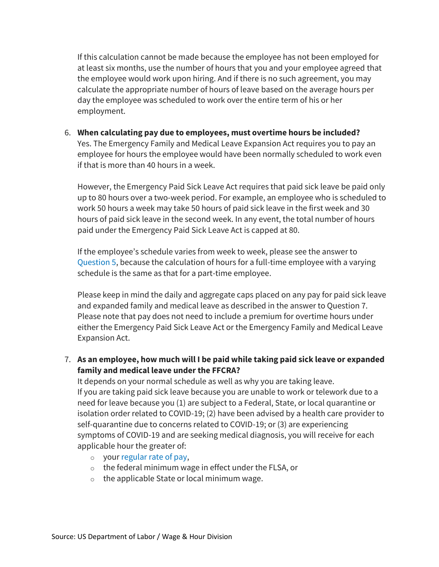If this calculation cannot be made because the employee has not been employed for at least six months, use the number of hours that you and your employee agreed that the employee would work upon hiring. And if there is no such agreement, you may calculate the appropriate number of hours of leave based on the average hours per day the employee was scheduled to work over the entire term of his or her employment.

6. **When calculating pay due to employees, must overtime hours be included?** Yes. The Emergency Family and Medical Leave Expansion Act requires you to pay an employee for hours the employee would have been normally scheduled to work even if that is more than 40 hours in a week.

However, the Emergency Paid Sick Leave Act requires that paid sick leave be paid only up to 80 hours over a two-week period. For example, an employee who is scheduled to work 50 hours a week may take 50 hours of paid sick leave in the first week and 30 hours of paid sick leave in the second week. In any event, the total number of hours paid under the Emergency Paid Sick Leave Act is capped at 80.

If the employee's schedule varies from week to week, please see the answer to [Question 5,](https://www.dol.gov/agencies/whd/pandemic/ffcra-questions#5) because the calculation of hours for a full-time employee with a varying schedule is the same as that for a part-time employee.

Please keep in mind the daily and aggregate caps placed on any pay for paid sick leave and expanded family and medical leave as described in the answer to Question 7. Please note that pay does not need to include a premium for overtime hours under either the Emergency Paid Sick Leave Act or the Emergency Family and Medical Leave Expansion Act.

7. **As an employee, how much will I be paid while taking paid sick leave or expanded family and medical leave under the FFCRA?**

It depends on your normal schedule as well as why you are taking leave. If you are taking paid sick leave because you are unable to work or telework due to a need for leave because you (1) are subject to a Federal, State, or local quarantine or isolation order related to COVID-19; (2) have been advised by a health care provider to self-quarantine due to concerns related to COVID-19; or (3) are experiencing symptoms of COVID-19 and are seeking medical diagnosis, you will receive for each applicable hour the greater of:

- o your [regular rate of pay,](https://www.dol.gov/agencies/whd/fact-sheets/56a-regular-rate)
- o the federal minimum wage in effect under the FLSA, or
- $\circ$  the applicable State or local minimum wage.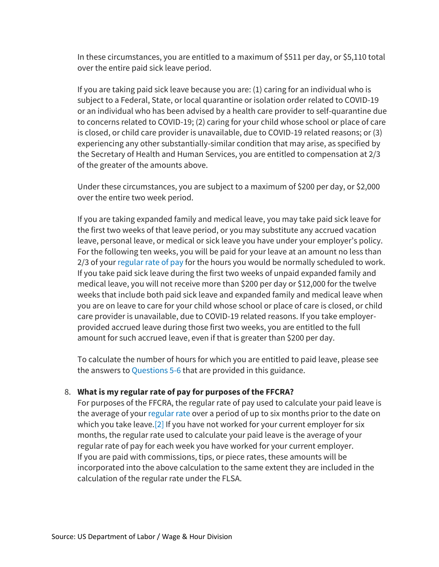In these circumstances, you are entitled to a maximum of \$511 per day, or \$5,110 total over the entire paid sick leave period.

If you are taking paid sick leave because you are: (1) caring for an individual who is subject to a Federal, State, or local quarantine or isolation order related to COVID-19 or an individual who has been advised by a health care provider to self-quarantine due to concerns related to COVID-19; (2) caring for your child whose school or place of care is closed, or child care provider is unavailable, due to COVID-19 related reasons; or (3) experiencing any other substantially-similar condition that may arise, as specified by the Secretary of Health and Human Services, you are entitled to compensation at 2/3 of the greater of the amounts above.

Under these circumstances, you are subject to a maximum of \$200 per day, or \$2,000 over the entire two week period.

If you are taking expanded family and medical leave, you may take paid sick leave for the first two weeks of that leave period, or you may substitute any accrued vacation leave, personal leave, or medical or sick leave you have under your employer's policy. For the following ten weeks, you will be paid for your leave at an amount no less than 2/3 of your [regular rate of pay](https://www.dol.gov/agencies/whd/fact-sheets/56a-regular-rate) for the hours you would be normally scheduled to work. If you take paid sick leave during the first two weeks of unpaid expanded family and medical leave, you will not receive more than \$200 per day or \$12,000 for the twelve weeks that include both paid sick leave and expanded family and medical leave when you are on leave to care for your child whose school or place of care is closed, or child care provider is unavailable, due to COVID-19 related reasons. If you take employerprovided accrued leave during those first two weeks, you are entitled to the full amount for such accrued leave, even if that is greater than \$200 per day.

To calculate the number of hours for which you are entitled to paid leave, please see the answers t[o Questions 5-6](https://www.dol.gov/agencies/whd/pandemic/ffcra-questions#5) that are provided in this guidance.

#### 8. **What is my regular rate of pay for purposes of the FFCRA?**

For purposes of the FFCRA, the regular rate of pay used to calculate your paid leave is the average of your [regular rate](https://www.dol.gov/agencies/whd/fact-sheets/56a-regular-rate) over a period of up to six months prior to the date on which you take leave.<sup>[2]</sup> If you have not worked for your current employer for six months, the regular rate used to calculate your paid leave is the average of your regular rate of pay for each week you have worked for your current employer. If you are paid with commissions, tips, or piece rates, these amounts will be incorporated into the above calculation to the same extent they are included in the calculation of the regular rate under the FLSA.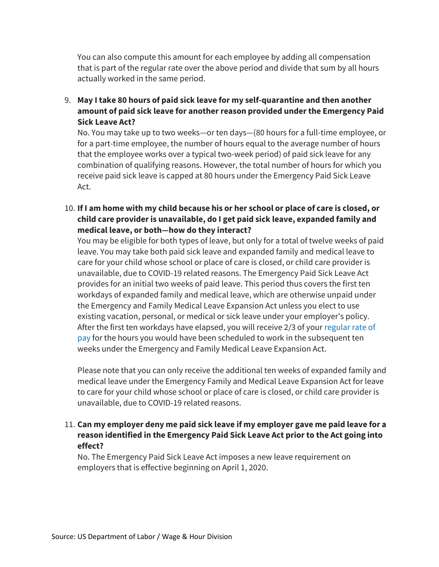You can also compute this amount for each employee by adding all compensation that is part of the regular rate over the above period and divide that sum by all hours actually worked in the same period.

9. **May I take 80 hours of paid sick leave for my self-quarantine and then another amount of paid sick leave for another reason provided under the Emergency Paid Sick Leave Act?**

No. You may take up to two weeks—or ten days—(80 hours for a full-time employee, or for a part-time employee, the number of hours equal to the average number of hours that the employee works over a typical two-week period) of paid sick leave for any combination of qualifying reasons. However, the total number of hours for which you receive paid sick leave is capped at 80 hours under the Emergency Paid Sick Leave Act.

10. **If I am home with my child because his or her school or place of care is closed, or child care provider is unavailable, do I get paid sick leave, expanded family and medical leave, or both—how do they interact?**

You may be eligible for both types of leave, but only for a total of twelve weeks of paid leave. You may take both paid sick leave and expanded family and medical leave to care for your child whose school or place of care is closed, or child care provider is unavailable, due to COVID-19 related reasons. The Emergency Paid Sick Leave Act provides for an initial two weeks of paid leave. This period thus covers the first ten workdays of expanded family and medical leave, which are otherwise unpaid under the Emergency and Family Medical Leave Expansion Act unless you elect to use existing vacation, personal, or medical or sick leave under your employer's policy. After the first ten workdays have elapsed, you will receive 2/3 of your [regular rate of](https://www.dol.gov/agencies/whd/fact-sheets/56a-regular-rate)  [pay](https://www.dol.gov/agencies/whd/fact-sheets/56a-regular-rate) for the hours you would have been scheduled to work in the subsequent ten weeks under the Emergency and Family Medical Leave Expansion Act.

Please note that you can only receive the additional ten weeks of expanded family and medical leave under the Emergency Family and Medical Leave Expansion Act for leave to care for your child whose school or place of care is closed, or child care provider is unavailable, due to COVID-19 related reasons.

#### 11. **Can my employer deny me paid sick leave if my employer gave me paid leave for a reason identified in the Emergency Paid Sick Leave Act prior to the Act going into effect?**

No. The Emergency Paid Sick Leave Act imposes a new leave requirement on employers that is effective beginning on April 1, 2020.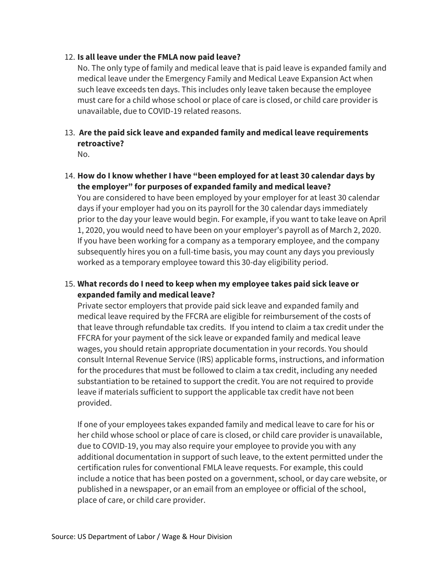#### 12. **Is all leave under the FMLA now paid leave?**

No. The only type of family and medical leave that is paid leave is expanded family and medical leave under the Emergency Family and Medical Leave Expansion Act when such leave exceeds ten days. This includes only leave taken because the employee must care for a child whose school or place of care is closed, or child care provider is unavailable, due to COVID-19 related reasons.

# 13. **Are the paid sick leave and expanded family and medical leave requirements retroactive?**

No.

#### 14. **How do I know whether I have "been employed for at least 30 calendar days by the employer" for purposes of expanded family and medical leave?**

You are considered to have been employed by your employer for at least 30 calendar days if your employer had you on its payroll for the 30 calendar days immediately prior to the day your leave would begin. For example, if you want to take leave on April 1, 2020, you would need to have been on your employer's payroll as of March 2, 2020. If you have been working for a company as a temporary employee, and the company subsequently hires you on a full-time basis, you may count any days you previously worked as a temporary employee toward this 30-day eligibility period.

#### 15. **What records do I need to keep when my employee takes paid sick leave or expanded family and medical leave?**

Private sector employers that provide paid sick leave and expanded family and medical leave required by the FFCRA are eligible for reimbursement of the costs of that leave through refundable tax credits. If you intend to claim a tax credit under the FFCRA for your payment of the sick leave or expanded family and medical leave wages, you should retain appropriate documentation in your records. You should consult Internal Revenue Service (IRS) applicable forms, instructions, and information for the procedures that must be followed to claim a tax credit, including any needed substantiation to be retained to support the credit. You are not required to provide leave if materials sufficient to support the applicable tax credit have not been provided.

If one of your employees takes expanded family and medical leave to care for his or her child whose school or place of care is closed, or child care provider is unavailable, due to COVID-19, you may also require your employee to provide you with any additional documentation in support of such leave, to the extent permitted under the certification rules for conventional FMLA leave requests. For example, this could include a notice that has been posted on a government, school, or day care website, or published in a newspaper, or an email from an employee or official of the school, place of care, or child care provider.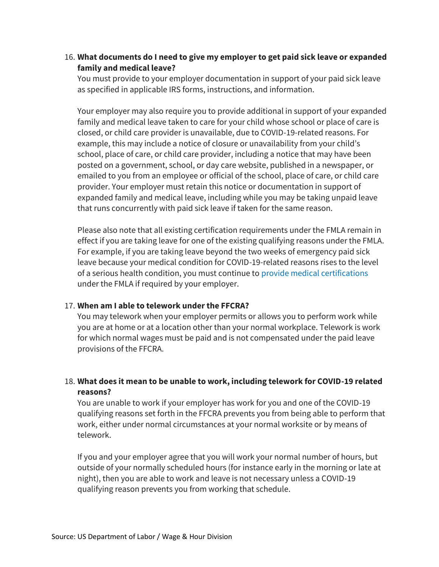#### 16. **What documents do I need to give my employer to get paid sick leave or expanded family and medical leave?**

You must provide to your employer documentation in support of your paid sick leave as specified in applicable IRS forms, instructions, and information.

Your employer may also require you to provide additional in support of your expanded family and medical leave taken to care for your child whose school or place of care is closed, or child care provider is unavailable, due to COVID-19-related reasons. For example, this may include a notice of closure or unavailability from your child's school, place of care, or child care provider, including a notice that may have been posted on a government, school, or day care website, published in a newspaper, or emailed to you from an employee or official of the school, place of care, or child care provider. Your employer must retain this notice or documentation in support of expanded family and medical leave, including while you may be taking unpaid leave that runs concurrently with paid sick leave if taken for the same reason.

Please also note that all existing certification requirements under the FMLA remain in effect if you are taking leave for one of the existing qualifying reasons under the FMLA. For example, if you are taking leave beyond the two weeks of emergency paid sick leave because your medical condition for COVID-19-related reasons rises to the level of a serious health condition, you must continue t[o provide medical certifications](https://www.dol.gov/sites/dolgov/files/WHD/legacy/files/whdfs28g.pdf) under the FMLA if required by your employer.

#### 17. **When am I able to telework under the FFCRA?**

You may telework when your employer permits or allows you to perform work while you are at home or at a location other than your normal workplace. Telework is work for which normal wages must be paid and is not compensated under the paid leave provisions of the FFCRA.

# 18. **What does it mean to be unable to work, including telework for COVID-19 related reasons?**

You are unable to work if your employer has work for you and one of the COVID-19 qualifying reasons set forth in the FFCRA prevents you from being able to perform that work, either under normal circumstances at your normal worksite or by means of telework.

If you and your employer agree that you will work your normal number of hours, but outside of your normally scheduled hours (for instance early in the morning or late at night), then you are able to work and leave is not necessary unless a COVID-19 qualifying reason prevents you from working that schedule.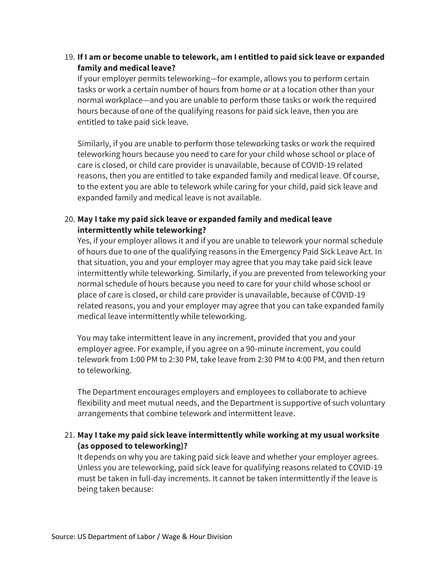## 19. **If I am or become unable to telework, am I entitled to paid sick leave or expanded family and medical leave?**

If your employer permits teleworking—for example, allows you to perform certain tasks or work a certain number of hours from home or at a location other than your normal workplace—and you are unable to perform those tasks or work the required hours because of one of the qualifying reasons for paid sick leave, then you are entitled to take paid sick leave.

Similarly, if you are unable to perform those teleworking tasks or work the required teleworking hours because you need to care for your child whose school or place of care is closed, or child care provider is unavailable, because of COVID-19 related reasons, then you are entitled to take expanded family and medical leave. Of course, to the extent you are able to telework while caring for your child, paid sick leave and expanded family and medical leave is not available.

# 20. **May I take my paid sick leave or expanded family and medical leave intermittently while teleworking?**

Yes, if your employer allows it and if you are unable to telework your normal schedule of hours due to one of the qualifying reasons in the Emergency Paid Sick Leave Act. In that situation, you and your employer may agree that you may take paid sick leave intermittently while teleworking. Similarly, if you are prevented from teleworking your normal schedule of hours because you need to care for your child whose school or place of care is closed, or child care provider is unavailable, because of COVID-19 related reasons, you and your employer may agree that you can take expanded family medical leave intermittently while teleworking.

You may take intermittent leave in any increment, provided that you and your employer agree. For example, if you agree on a 90-minute increment, you could telework from 1:00 PM to 2:30 PM, take leave from 2:30 PM to 4:00 PM, and then return to teleworking.

The Department encourages employers and employees to collaborate to achieve flexibility and meet mutual needs, and the Department is supportive of such voluntary arrangements that combine telework and intermittent leave.

# 21. **May I take my paid sick leave intermittently while working at my usual worksite (as opposed to teleworking)?**

It depends on why you are taking paid sick leave and whether your employer agrees. Unless you are teleworking, paid sick leave for qualifying reasons related to COVID-19 must be taken in full-day increments. It cannot be taken intermittently if the leave is being taken because: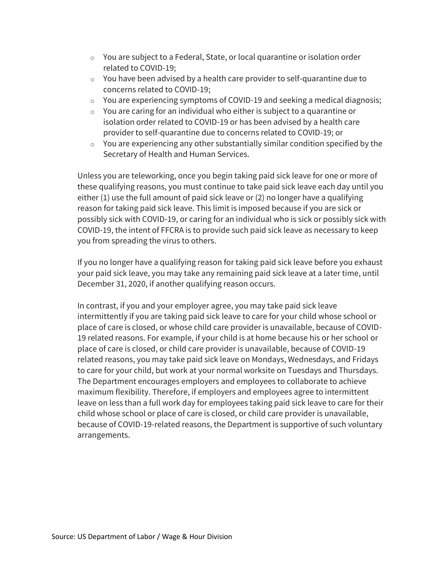- o You are subject to a Federal, State, or local quarantine or isolation order related to COVID-19;
- o You have been advised by a health care provider to self-quarantine due to concerns related to COVID-19;
- o You are experiencing symptoms of COVID-19 and seeking a medical diagnosis;
- $\circ$  You are caring for an individual who either is subject to a quarantine or isolation order related to COVID-19 or has been advised by a health care provider to self-quarantine due to concerns related to COVID-19; or
- $\circ$  You are experiencing any other substantially similar condition specified by the Secretary of Health and Human Services.

Unless you are teleworking, once you begin taking paid sick leave for one or more of these qualifying reasons, you must continue to take paid sick leave each day until you either (1) use the full amount of paid sick leave or (2) no longer have a qualifying reason for taking paid sick leave. This limit is imposed because if you are sick or possibly sick with COVID-19, or caring for an individual who is sick or possibly sick with COVID-19, the intent of FFCRA is to provide such paid sick leave as necessary to keep you from spreading the virus to others.

If you no longer have a qualifying reason for taking paid sick leave before you exhaust your paid sick leave, you may take any remaining paid sick leave at a later time, until December 31, 2020, if another qualifying reason occurs.

In contrast, if you and your employer agree, you may take paid sick leave intermittently if you are taking paid sick leave to care for your child whose school or place of care is closed, or whose child care provider is unavailable, because of COVID-19 related reasons. For example, if your child is at home because his or her school or place of care is closed, or child care provider is unavailable, because of COVID-19 related reasons, you may take paid sick leave on Mondays, Wednesdays, and Fridays to care for your child, but work at your normal worksite on Tuesdays and Thursdays. The Department encourages employers and employees to collaborate to achieve maximum flexibility. Therefore, if employers and employees agree to intermittent leave on less than a full work day for employees taking paid sick leave to care for their child whose school or place of care is closed, or child care provider is unavailable, because of COVID-19-related reasons, the Department is supportive of such voluntary arrangements.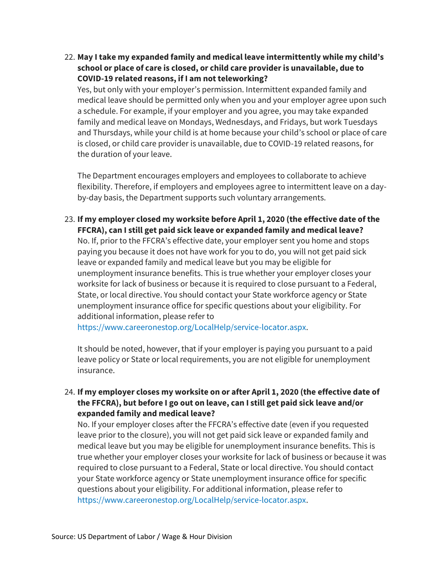22. **May I take my expanded family and medical leave intermittently while my child's school or place of care is closed, or child care provider is unavailable, due to COVID-19 related reasons, if I am not teleworking?**

Yes, but only with your employer's permission. Intermittent expanded family and medical leave should be permitted only when you and your employer agree upon such a schedule. For example, if your employer and you agree, you may take expanded family and medical leave on Mondays, Wednesdays, and Fridays, but work Tuesdays and Thursdays, while your child is at home because your child's school or place of care is closed, or child care provider is unavailable, due to COVID-19 related reasons, for the duration of your leave.

The Department encourages employers and employees to collaborate to achieve flexibility. Therefore, if employers and employees agree to intermittent leave on a dayby-day basis, the Department supports such voluntary arrangements.

23. **If my employer closed my worksite before April 1, 2020 (the effective date of the FFCRA), can I still get paid sick leave or expanded family and medical leave?** No. If, prior to the FFCRA's effective date, your employer sent you home and stops paying you because it does not have work for you to do, you will not get paid sick leave or expanded family and medical leave but you may be eligible for unemployment insurance benefits. This is true whether your employer closes your worksite for lack of business or because it is required to close pursuant to a Federal, State, or local directive. You should contact your State workforce agency or State unemployment insurance office for specific questions about your eligibility. For

[https://www.careeronestop.org/LocalHelp/service-locator.aspx.](https://www.careeronestop.org/LocalHelp/service-locator.aspx)

It should be noted, however, that if your employer is paying you pursuant to a paid leave policy or State or local requirements, you are not eligible for unemployment insurance.

24. **If my employer closes my worksite on or after April 1, 2020 (the effective date of the FFCRA), but before I go out on leave, can I still get paid sick leave and/or expanded family and medical leave?**

No. If your employer closes after the FFCRA's effective date (even if you requested leave prior to the closure), you will not get paid sick leave or expanded family and medical leave but you may be eligible for unemployment insurance benefits. This is true whether your employer closes your worksite for lack of business or because it was required to close pursuant to a Federal, State or local directive. You should contact your State workforce agency or State unemployment insurance office for specific questions about your eligibility. For additional information, please refer to [https://www.careeronestop.org/LocalHelp/service-locator.aspx.](https://www.careeronestop.org/LocalHelp/service-locator.aspx)

additional information, please refer to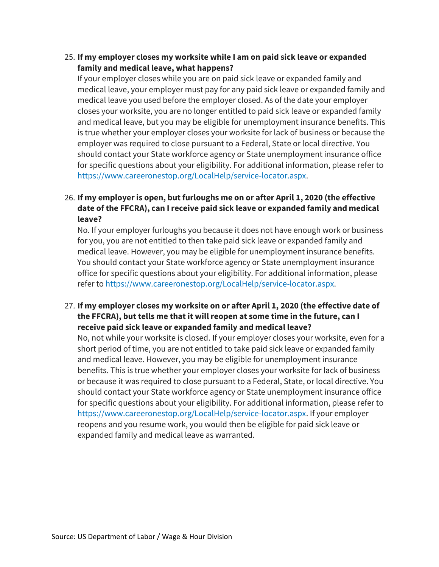#### 25. **If my employer closes my worksite while I am on paid sick leave or expanded family and medical leave, what happens?**

If your employer closes while you are on paid sick leave or expanded family and medical leave, your employer must pay for any paid sick leave or expanded family and medical leave you used before the employer closed. As of the date your employer closes your worksite, you are no longer entitled to paid sick leave or expanded family and medical leave, but you may be eligible for unemployment insurance benefits. This is true whether your employer closes your worksite for lack of business or because the employer was required to close pursuant to a Federal, State or local directive. You should contact your State workforce agency or State unemployment insurance office for specific questions about your eligibility. For additional information, please refer to [https://www.careeronestop.org/LocalHelp/service-locator.aspx.](https://www.careeronestop.org/LocalHelp/service-locator.aspx)

# 26. **If my employer is open, but furloughs me on or after April 1, 2020 (the effective date of the FFCRA), can I receive paid sick leave or expanded family and medical leave?**

No. If your employer furloughs you because it does not have enough work or business for you, you are not entitled to then take paid sick leave or expanded family and medical leave. However, you may be eligible for unemployment insurance benefits. You should contact your State workforce agency or State unemployment insurance office for specific questions about your eligibility. For additional information, please refer to [https://www.careeronestop.org/LocalHelp/service-locator.aspx.](https://www.careeronestop.org/LocalHelp/service-locator.aspx)

# 27. **If my employer closes my worksite on or after April 1, 2020 (the effective date of the FFCRA), but tells me that it will reopen at some time in the future, can I receive paid sick leave or expanded family and medical leave?**

No, not while your worksite is closed. If your employer closes your worksite, even for a short period of time, you are not entitled to take paid sick leave or expanded family and medical leave. However, you may be eligible for unemployment insurance benefits. This is true whether your employer closes your worksite for lack of business or because it was required to close pursuant to a Federal, State, or local directive. You should contact your State workforce agency or State unemployment insurance office for specific questions about your eligibility. For additional information, please refer to [https://www.careeronestop.org/LocalHelp/service-locator.aspx.](https://www.careeronestop.org/LocalHelp/service-locator.aspx) If your employer reopens and you resume work, you would then be eligible for paid sick leave or expanded family and medical leave as warranted.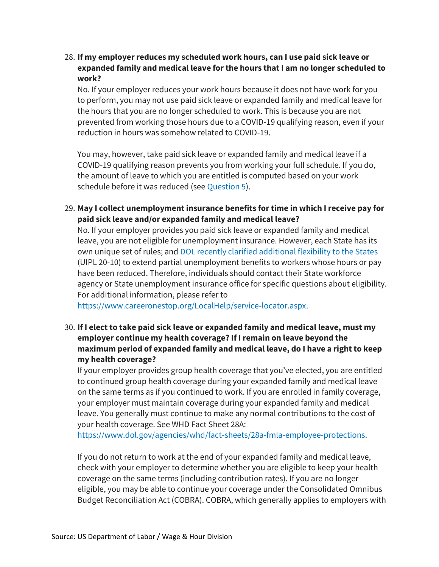28. **If my employer reduces my scheduled work hours, can I use paid sick leave or expanded family and medical leave for the hours that I am no longer scheduled to work?**

No. If your employer reduces your work hours because it does not have work for you to perform, you may not use paid sick leave or expanded family and medical leave for the hours that you are no longer scheduled to work. This is because you are not prevented from working those hours due to a COVID-19 qualifying reason, even if your reduction in hours was somehow related to COVID-19.

You may, however, take paid sick leave or expanded family and medical leave if a COVID-19 qualifying reason prevents you from working your full schedule. If you do, the amount of leave to which you are entitled is computed based on your work schedule before it was reduced (see [Question 5\)](https://www.dol.gov/agencies/whd/pandemic/ffcra-questions#5).

29. **May I collect unemployment insurance benefits for time in which I receive pay for paid sick leave and/or expanded family and medical leave?**

No. If your employer provides you paid sick leave or expanded family and medical leave, you are not eligible for unemployment insurance. However, each State has its own unique set of rules; and [DOL recently clarified additional flexibility to the States](https://wdr.doleta.gov/directives/corr_doc.cfm?docn=8893) (UIPL 20-10) to extend partial unemployment benefits to workers whose hours or pay have been reduced. Therefore, individuals should contact their State workforce agency or State unemployment insurance office for specific questions about eligibility. For additional information, please refer to

[https://www.careeronestop.org/LocalHelp/service-locator.aspx.](https://www.careeronestop.org/LocalHelp/service-locator.aspx)

30. **If I elect to take paid sick leave or expanded family and medical leave, must my employer continue my health coverage? If I remain on leave beyond the maximum period of expanded family and medical leave, do I have a right to keep my health coverage?**

If your employer provides group health coverage that you've elected, you are entitled to continued group health coverage during your expanded family and medical leave on the same terms as if you continued to work. If you are enrolled in family coverage, your employer must maintain coverage during your expanded family and medical leave. You generally must continue to make any normal contributions to the cost of your health coverage. See WHD Fact Sheet 28A:

[https://www.dol.gov/agencies/whd/fact-sheets/28a-fmla-employee-protections.](https://www.dol.gov/agencies/whd/fact-sheets/28a-fmla-employee-protections)

If you do not return to work at the end of your expanded family and medical leave, check with your employer to determine whether you are eligible to keep your health coverage on the same terms (including contribution rates). If you are no longer eligible, you may be able to continue your coverage under the Consolidated Omnibus Budget Reconciliation Act (COBRA). COBRA, which generally applies to employers with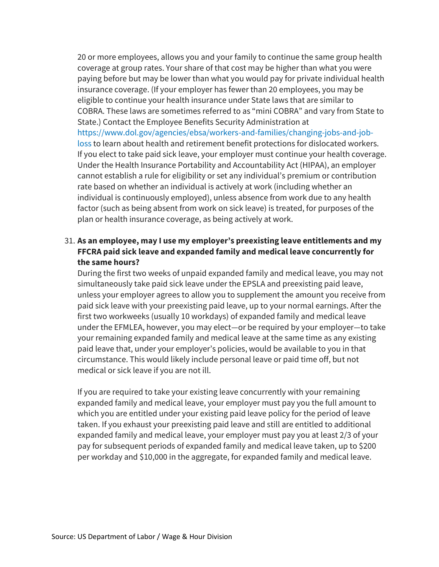20 or more employees, allows you and your family to continue the same group health coverage at group rates. Your share of that cost may be higher than what you were paying before but may be lower than what you would pay for private individual health insurance coverage. (If your employer has fewer than 20 employees, you may be eligible to continue your health insurance under State laws that are similar to COBRA. These laws are sometimes referred to as "mini COBRA" and vary from State to State.) Contact the Employee Benefits Security Administration at [https://www.dol.gov/agencies/ebsa/workers-and-families/changing-jobs-and-job](https://www.dol.gov/agencies/ebsa/workers-and-families/changing-jobs-and-job-loss)[loss](https://www.dol.gov/agencies/ebsa/workers-and-families/changing-jobs-and-job-loss) to learn about health and retirement benefit protections for dislocated workers. If you elect to take paid sick leave, your employer must continue your health coverage. Under the Health Insurance Portability and Accountability Act (HIPAA), an employer cannot establish a rule for eligibility or set any individual's premium or contribution rate based on whether an individual is actively at work (including whether an individual is continuously employed), unless absence from work due to any health factor (such as being absent from work on sick leave) is treated, for purposes of the plan or health insurance coverage, as being actively at work.

# 31. **As an employee, may I use my employer's preexisting leave entitlements and my FFCRA paid sick leave and expanded family and medical leave concurrently for the same hours?**

During the first two weeks of unpaid expanded family and medical leave, you may not simultaneously take paid sick leave under the EPSLA and preexisting paid leave, unless your employer agrees to allow you to supplement the amount you receive from paid sick leave with your preexisting paid leave, up to your normal earnings. After the first two workweeks (usually 10 workdays) of expanded family and medical leave under the EFMLEA, however, you may elect—or be required by your employer—to take your remaining expanded family and medical leave at the same time as any existing paid leave that, under your employer's policies, would be available to you in that circumstance. This would likely include personal leave or paid time off, but not medical or sick leave if you are not ill.

If you are required to take your existing leave concurrently with your remaining expanded family and medical leave, your employer must pay you the full amount to which you are entitled under your existing paid leave policy for the period of leave taken. If you exhaust your preexisting paid leave and still are entitled to additional expanded family and medical leave, your employer must pay you at least 2/3 of your pay for subsequent periods of expanded family and medical leave taken, up to \$200 per workday and \$10,000 in the aggregate, for expanded family and medical leave.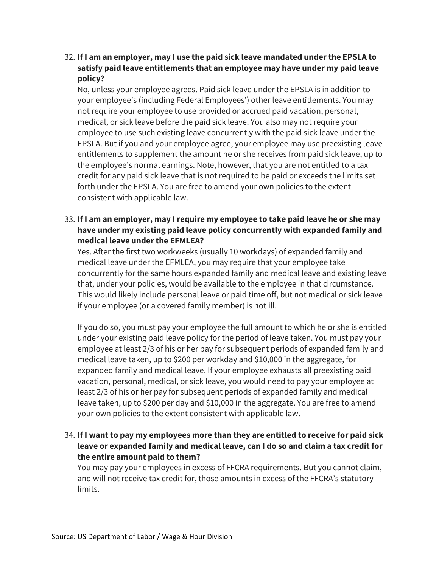32. **If I am an employer, may I use the paid sick leave mandated under the EPSLA to satisfy paid leave entitlements that an employee may have under my paid leave policy?**

No, unless your employee agrees. Paid sick leave under the EPSLA is in addition to your employee's (including Federal Employees') other leave entitlements. You may not require your employee to use provided or accrued paid vacation, personal, medical, or sick leave before the paid sick leave. You also may not require your employee to use such existing leave concurrently with the paid sick leave under the EPSLA. But if you and your employee agree, your employee may use preexisting leave entitlements to supplement the amount he or she receives from paid sick leave, up to the employee's normal earnings. Note, however, that you are not entitled to a tax credit for any paid sick leave that is not required to be paid or exceeds the limits set forth under the EPSLA. You are free to amend your own policies to the extent consistent with applicable law.

33. **If I am an employer, may I require my employee to take paid leave he or she may have under my existing paid leave policy concurrently with expanded family and medical leave under the EFMLEA?**

Yes. After the first two workweeks (usually 10 workdays) of expanded family and medical leave under the EFMLEA, you may require that your employee take concurrently for the same hours expanded family and medical leave and existing leave that, under your policies, would be available to the employee in that circumstance. This would likely include personal leave or paid time off, but not medical or sick leave if your employee (or a covered family member) is not ill.

If you do so, you must pay your employee the full amount to which he or she is entitled under your existing paid leave policy for the period of leave taken. You must pay your employee at least 2/3 of his or her pay for subsequent periods of expanded family and medical leave taken, up to \$200 per workday and \$10,000 in the aggregate, for expanded family and medical leave. If your employee exhausts all preexisting paid vacation, personal, medical, or sick leave, you would need to pay your employee at least 2/3 of his or her pay for subsequent periods of expanded family and medical leave taken, up to \$200 per day and \$10,000 in the aggregate. You are free to amend your own policies to the extent consistent with applicable law.

34. **If I want to pay my employees more than they are entitled to receive for paid sick leave or expanded family and medical leave, can I do so and claim a tax credit for the entire amount paid to them?**

You may pay your employees in excess of FFCRA requirements. But you cannot claim, and will not receive tax credit for, those amounts in excess of the FFCRA's statutory limits.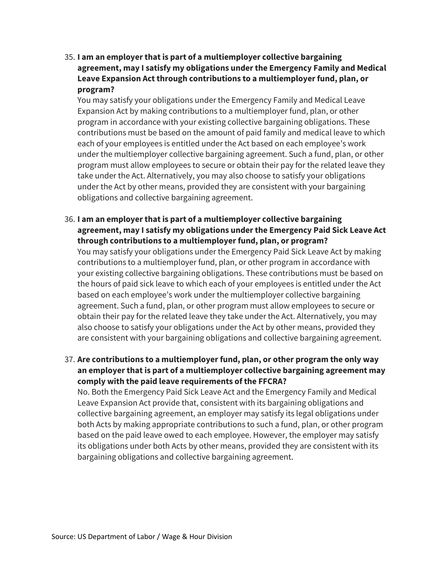35. **I am an employer that is part of a multiemployer collective bargaining agreement, may I satisfy my obligations under the Emergency Family and Medical Leave Expansion Act through contributions to a multiemployer fund, plan, or program?**

You may satisfy your obligations under the Emergency Family and Medical Leave Expansion Act by making contributions to a multiemployer fund, plan, or other program in accordance with your existing collective bargaining obligations. These contributions must be based on the amount of paid family and medical leave to which each of your employees is entitled under the Act based on each employee's work under the multiemployer collective bargaining agreement. Such a fund, plan, or other program must allow employees to secure or obtain their pay for the related leave they take under the Act. Alternatively, you may also choose to satisfy your obligations under the Act by other means, provided they are consistent with your bargaining obligations and collective bargaining agreement.

36. **I am an employer that is part of a multiemployer collective bargaining agreement, may I satisfy my obligations under the Emergency Paid Sick Leave Act through contributions to a multiemployer fund, plan, or program?**

You may satisfy your obligations under the Emergency Paid Sick Leave Act by making contributions to a multiemployer fund, plan, or other program in accordance with your existing collective bargaining obligations. These contributions must be based on the hours of paid sick leave to which each of your employees is entitled under the Act based on each employee's work under the multiemployer collective bargaining agreement. Such a fund, plan, or other program must allow employees to secure or obtain their pay for the related leave they take under the Act. Alternatively, you may also choose to satisfy your obligations under the Act by other means, provided they are consistent with your bargaining obligations and collective bargaining agreement.

37. **Are contributions to a multiemployer fund, plan, or other program the only way an employer that is part of a multiemployer collective bargaining agreement may comply with the paid leave requirements of the FFCRA?**

No. Both the Emergency Paid Sick Leave Act and the Emergency Family and Medical Leave Expansion Act provide that, consistent with its bargaining obligations and collective bargaining agreement, an employer may satisfy its legal obligations under both Acts by making appropriate contributions to such a fund, plan, or other program based on the paid leave owed to each employee. However, the employer may satisfy its obligations under both Acts by other means, provided they are consistent with its bargaining obligations and collective bargaining agreement.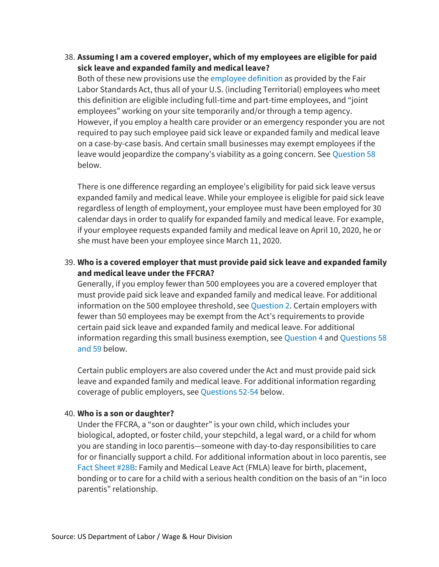#### 38. **Assuming I am a covered employer, which of my employees are eligible for paid sick leave and expanded family and medical leave?**

Both of these new provisions use th[e employee definition](https://www.dol.gov/agencies/whd/fact-sheets/13-flsa-employment-relationship) as provided by the Fair Labor Standards Act, thus all of your U.S. (including Territorial) employees who meet this definition are eligible including full-time and part-time employees, and "joint employees" working on your site temporarily and/or through a temp agency. However, if you employ a health care provider or an emergency responder you are not required to pay such employee paid sick leave or expanded family and medical leave on a case-by-case basis. And certain small businesses may exempt employees if the leave would jeopardize the company's viability as a going concern. See [Question 58](https://www.dol.gov/agencies/whd/pandemic/ffcra-questions#58) below.

There is one difference regarding an employee's eligibility for paid sick leave versus expanded family and medical leave. While your employee is eligible for paid sick leave regardless of length of employment, your employee must have been employed for 30 calendar days in order to qualify for expanded family and medical leave. For example, if your employee requests expanded family and medical leave on April 10, 2020, he or she must have been your employee since March 11, 2020.

# 39. **Who is a covered employer that must provide paid sick leave and expanded family and medical leave under the FFCRA?**

Generally, if you employ fewer than 500 employees you are a covered employer that must provide paid sick leave and expanded family and medical leave. For additional information on the 500 employee threshold, see [Question 2.](https://www.dol.gov/agencies/whd/pandemic/ffcra-questions#2) Certain employers with fewer than 50 employees may be exempt from the Act's requirements to provide certain paid sick leave and expanded family and medical leave. For additional information regarding this small business exemption, se[e Question 4](https://www.dol.gov/agencies/whd/pandemic/ffcra-questions#4) an[d Questions 58](https://www.dol.gov/agencies/whd/pandemic/ffcra-questions#58)  [and 59](https://www.dol.gov/agencies/whd/pandemic/ffcra-questions#58) below.

Certain public employers are also covered under the Act and must provide paid sick leave and expanded family and medical leave. For additional information regarding coverage of public employers, see [Questions 52-54](https://www.dol.gov/agencies/whd/pandemic/ffcra-questions#52) below.

#### 40. **Who is a son or daughter?**

Under the FFCRA, a "son or daughter" is your own child, which includes your biological, adopted, or foster child, your stepchild, a legal ward, or a child for whom you are standing in loco parentis—someone with day-to-day responsibilities to care for or financially support a child. For additional information about in loco parentis, see [Fact Sheet #28B:](https://www.dol.gov/sites/dolgov/files/WHD/legacy/files/whdfs28B.pdf) Family and Medical Leave Act (FMLA) leave for birth, placement, bonding or to care for a child with a serious health condition on the basis of an "in loco parentis" relationship.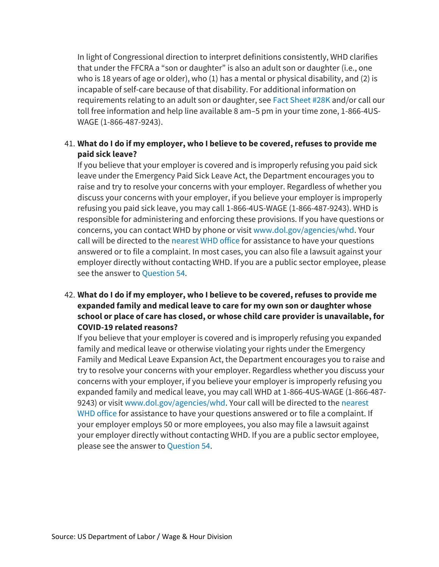In light of Congressional direction to interpret definitions consistently, WHD clarifies that under the FFCRA a "son or daughter" is also an adult son or daughter (i.e., one who is 18 years of age or older), who (1) has a mental or physical disability, and (2) is incapable of self-care because of that disability. For additional information on requirements relating to an adult son or daughter, se[e Fact Sheet #28K](https://www.dol.gov/agencies/whd/fact-sheets/28k-fmla-adult-children) and/or call our toll free information and help line available 8 am–5 pm in your time zone, 1-866-4US-WAGE (1-866-487-9243).

# 41. **What do I do if my employer, who I believe to be covered, refuses to provide me paid sick leave?**

If you believe that your employer is covered and is improperly refusing you paid sick leave under the Emergency Paid Sick Leave Act, the Department encourages you to raise and try to resolve your concerns with your employer. Regardless of whether you discuss your concerns with your employer, if you believe your employer is improperly refusing you paid sick leave, you may call 1-866-4US-WAGE (1-866-487-9243). WHD is responsible for administering and enforcing these provisions. If you have questions or concerns, you can contact WHD by phone or visi[t www.dol.gov/agencies/whd.](https://www.dol.gov/agencies/whd) Your call will be directed to the [nearest WHD office](https://www.dol.gov/agencies/whd/contact/local-offices) for assistance to have your questions answered or to file a complaint. In most cases, you can also file a lawsuit against your employer directly without contacting WHD. If you are a public sector employee, please see the answer to [Question 54.](https://www.dol.gov/agencies/whd/pandemic/ffcra-questions#54)

# 42. **What do I do if my employer, who I believe to be covered, refuses to provide me expanded family and medical leave to care for my own son or daughter whose school or place of care has closed, or whose child care provider is unavailable, for COVID-19 related reasons?**

If you believe that your employer is covered and is improperly refusing you expanded family and medical leave or otherwise violating your rights under the Emergency Family and Medical Leave Expansion Act, the Department encourages you to raise and try to resolve your concerns with your employer. Regardless whether you discuss your concerns with your employer, if you believe your employer is improperly refusing you expanded family and medical leave, you may call WHD at 1-866-4US-WAGE (1-866-487 9243) or visit [www.dol.gov/agencies/whd.](https://www.dol.gov/agencies/whd) Your call will be directed to the nearest [WHD office](https://www.dol.gov/agencies/whd/contact/local-offices) for assistance to have your questions answered or to file a complaint. If your employer employs 50 or more employees, you also may file a lawsuit against your employer directly without contacting WHD. If you are a public sector employee, please see the answer to [Question 54.](https://www.dol.gov/agencies/whd/pandemic/ffcra-questions#54)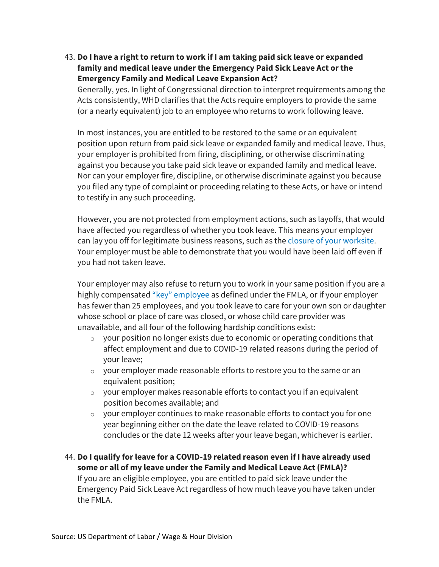## 43. **Do I have a right to return to work if I am taking paid sick leave or expanded family and medical leave under the Emergency Paid Sick Leave Act or the Emergency Family and Medical Leave Expansion Act?**

Generally, yes. In light of Congressional direction to interpret requirements among the Acts consistently, WHD clarifies that the Acts require employers to provide the same (or a nearly equivalent) job to an employee who returns to work following leave.

In most instances, you are entitled to be restored to the same or an equivalent position upon return from paid sick leave or expanded family and medical leave. Thus, your employer is prohibited from firing, disciplining, or otherwise discriminating against you because you take paid sick leave or expanded family and medical leave. Nor can your employer fire, discipline, or otherwise discriminate against you because you filed any type of complaint or proceeding relating to these Acts, or have or intend to testify in any such proceeding.

However, you are not protected from employment actions, such as layoffs, that would have affected you regardless of whether you took leave. This means your employer can lay you off for legitimate business reasons, such as th[e closure of your worksite.](https://www.dol.gov/agencies/whd/fact-sheets/28a-fmla-employee-protections) Your employer must be able to demonstrate that you would have been laid off even if you had not taken leave.

Your employer may also refuse to return you to work in your same position if you are a highly compensated ["key" employee](https://www.dol.gov/whd/regs/compliance/whdfs28a.pdf) as defined under the FMLA, or if your employer has fewer than 25 employees, and you took leave to care for your own son or daughter whose school or place of care was closed, or whose child care provider was unavailable, and all four of the following hardship conditions exist:

- o your position no longer exists due to economic or operating conditions that affect employment and due to COVID-19 related reasons during the period of your leave;
- $\circ$  your employer made reasonable efforts to restore you to the same or an equivalent position;
- o your employer makes reasonable efforts to contact you if an equivalent position becomes available; and
- o your employer continues to make reasonable efforts to contact you for one year beginning either on the date the leave related to COVID-19 reasons concludes or the date 12 weeks after your leave began, whichever is earlier.

44. **Do I qualify for leave for a COVID-19 related reason even if I have already used some or all of my leave under the Family and Medical Leave Act (FMLA)?** If you are an eligible employee, you are entitled to paid sick leave under the Emergency Paid Sick Leave Act regardless of how much leave you have taken under the FMLA.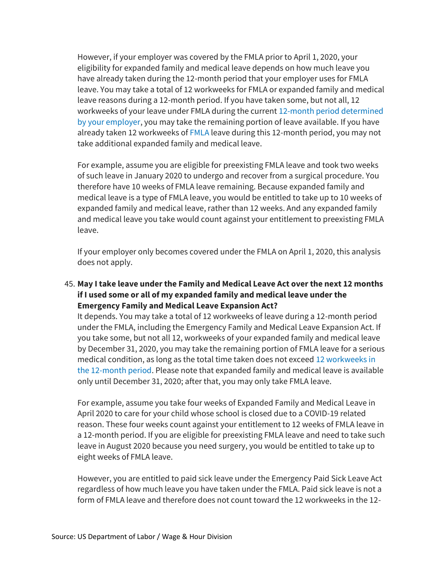However, if your employer was covered by the FMLA prior to April 1, 2020, your eligibility for expanded family and medical leave depends on how much leave you have already taken during the 12-month period that your employer uses for FMLA leave. You may take a total of 12 workweeks for FMLA or expanded family and medical leave reasons during a 12-month period. If you have taken some, but not all, 12 workweeks of your leave under FMLA during the current [12-month period determined](https://www.dol.gov/sites/dolgov/files/WHD/legacy/files/whdfs28h.pdf)  [by your employer,](https://www.dol.gov/sites/dolgov/files/WHD/legacy/files/whdfs28h.pdf) you may take the remaining portion of leave available. If you have already taken 12 workweeks o[f FMLA](https://www.dol.gov/sites/dolgov/files/WHD/legacy/files/whdfs28.pdf) leave during this 12-month period, you may not take additional expanded family and medical leave.

For example, assume you are eligible for preexisting FMLA leave and took two weeks of such leave in January 2020 to undergo and recover from a surgical procedure. You therefore have 10 weeks of FMLA leave remaining. Because expanded family and medical leave is a type of FMLA leave, you would be entitled to take up to 10 weeks of expanded family and medical leave, rather than 12 weeks. And any expanded family and medical leave you take would count against your entitlement to preexisting FMLA leave.

If your employer only becomes covered under the FMLA on April 1, 2020, this analysis does not apply.

#### 45. **May I take leave under the Family and Medical Leave Act over the next 12 months if I used some or all of my expanded family and medical leave under the Emergency Family and Medical Leave Expansion Act?**

It depends. You may take a total of 12 workweeks of leave during a 12-month period under the FMLA, including the Emergency Family and Medical Leave Expansion Act. If you take some, but not all 12, workweeks of your expanded family and medical leave by December 31, 2020, you may take the remaining portion of FMLA leave for a serious medical condition, as long as the total time taken does not exceed [12 workweeks in](https://www.dol.gov/sites/dolgov/files/WHD/legacy/files/whdfs28h.pdf)  [the 12-month](https://www.dol.gov/sites/dolgov/files/WHD/legacy/files/whdfs28h.pdf) period. Please note that expanded family and medical leave is available only until December 31, 2020; after that, you may only take FMLA leave.

For example, assume you take four weeks of Expanded Family and Medical Leave in April 2020 to care for your child whose school is closed due to a COVID-19 related reason. These four weeks count against your entitlement to 12 weeks of FMLA leave in a 12-month period. If you are eligible for preexisting FMLA leave and need to take such leave in August 2020 because you need surgery, you would be entitled to take up to eight weeks of FMLA leave.

However, you are entitled to paid sick leave under the Emergency Paid Sick Leave Act regardless of how much leave you have taken under the FMLA. Paid sick leave is not a form of FMLA leave and therefore does not count toward the 12 workweeks in the 12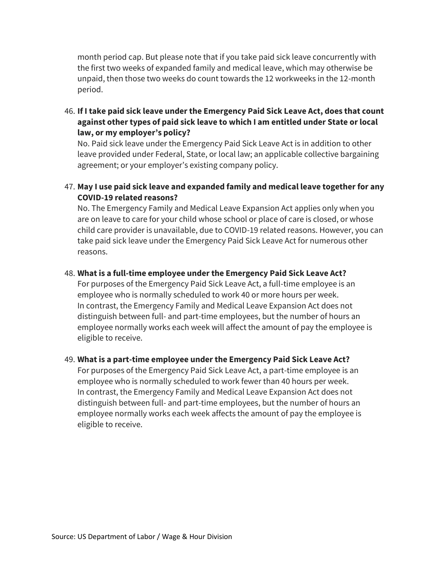month period cap. But please note that if you take paid sick leave concurrently with the first two weeks of expanded family and medical leave, which may otherwise be unpaid, then those two weeks do count towards the 12 workweeks in the 12-month period.

46. **If I take paid sick leave under the Emergency Paid Sick Leave Act, does that count against other types of paid sick leave to which I am entitled under State or local law, or my employer's policy?**

No. Paid sick leave under the Emergency Paid Sick Leave Act is in addition to other leave provided under Federal, State, or local law; an applicable collective bargaining agreement; or your employer's existing company policy.

47. **May I use paid sick leave and expanded family and medical leave together for any COVID-19 related reasons?** 

No. The Emergency Family and Medical Leave Expansion Act applies only when you are on leave to care for your child whose school or place of care is closed, or whose child care provider is unavailable, due to COVID-19 related reasons. However, you can take paid sick leave under the Emergency Paid Sick Leave Act for numerous other reasons.

#### 48. **What is a full-time employee under the Emergency Paid Sick Leave Act?**

For purposes of the Emergency Paid Sick Leave Act, a full-time employee is an employee who is normally scheduled to work 40 or more hours per week. In contrast, the Emergency Family and Medical Leave Expansion Act does not distinguish between full- and part-time employees, but the number of hours an employee normally works each week will affect the amount of pay the employee is eligible to receive.

# 49. **What is a part-time employee under the Emergency Paid Sick Leave Act?**

For purposes of the Emergency Paid Sick Leave Act, a part-time employee is an employee who is normally scheduled to work fewer than 40 hours per week. In contrast, the Emergency Family and Medical Leave Expansion Act does not distinguish between full- and part-time employees, but the number of hours an employee normally works each week affects the amount of pay the employee is eligible to receive.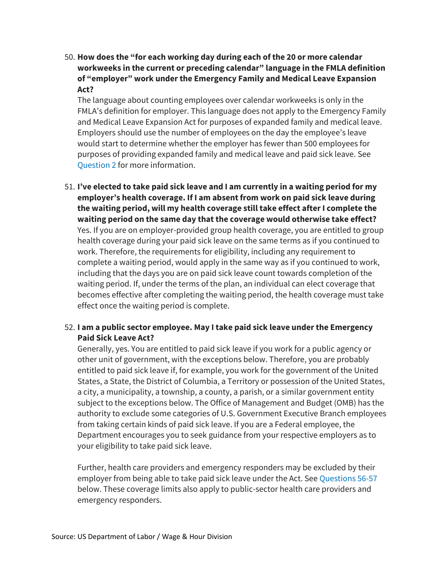50. **How does the "for each working day during each of the 20 or more calendar workweeks in the current or preceding calendar" language in the FMLA definition of "employer" work under the Emergency Family and Medical Leave Expansion Act?**

The language about counting employees over calendar workweeks is only in the FMLA's definition for employer. This language does not apply to the Emergency Family and Medical Leave Expansion Act for purposes of expanded family and medical leave. Employers should use the number of employees on the day the employee's leave would start to determine whether the employer has fewer than 500 employees for purposes of providing expanded family and medical leave and paid sick leave. See [Question 2](https://www.dol.gov/agencies/whd/pandemic/ffcra-questions#2) for more information.

51. **I've elected to take paid sick leave and I am currently in a waiting period for my employer's health coverage. If I am absent from work on paid sick leave during the waiting period, will my health coverage still take effect after I complete the waiting period on the same day that the coverage would otherwise take effect?** Yes. If you are on employer-provided group health coverage, you are entitled to group health coverage during your paid sick leave on the same terms as if you continued to work. Therefore, the requirements for eligibility, including any requirement to complete a waiting period, would apply in the same way as if you continued to work, including that the days you are on paid sick leave count towards completion of the waiting period. If, under the terms of the plan, an individual can elect coverage that becomes effective after completing the waiting period, the health coverage must take effect once the waiting period is complete.

# 52. **I am a public sector employee. May I take paid sick leave under the Emergency Paid Sick Leave Act?**

Generally, yes. You are entitled to paid sick leave if you work for a public agency or other unit of government, with the exceptions below. Therefore, you are probably entitled to paid sick leave if, for example, you work for the government of the United States, a State, the District of Columbia, a Territory or possession of the United States, a city, a municipality, a township, a county, a parish, or a similar government entity subject to the exceptions below. The Office of Management and Budget (OMB) has the authority to exclude some categories of U.S. Government Executive Branch employees from taking certain kinds of paid sick leave. If you are a Federal employee, the Department encourages you to seek guidance from your respective employers as to your eligibility to take paid sick leave.

Further, health care providers and emergency responders may be excluded by their employer from being able to take paid sick leave under the Act. Se[e Questions 56-57](https://www.dol.gov/agencies/whd/pandemic/ffcra-questions#56) below. These coverage limits also apply to public-sector health care providers and emergency responders.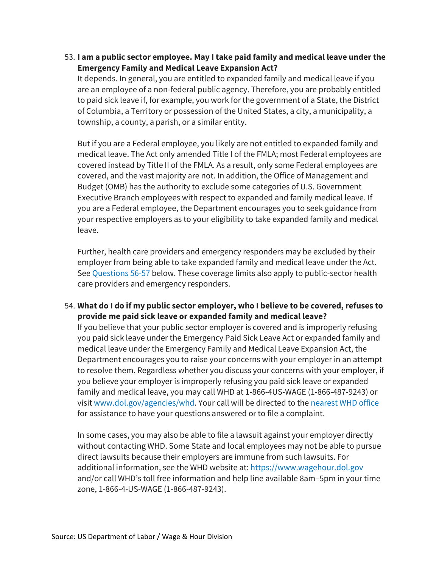53. **I am a public sector employee. May I take paid family and medical leave under the Emergency Family and Medical Leave Expansion Act?**

It depends. In general, you are entitled to expanded family and medical leave if you are an employee of a non-federal public agency. Therefore, you are probably entitled to paid sick leave if, for example, you work for the government of a State, the District of Columbia, a Territory or possession of the United States, a city, a municipality, a township, a county, a parish, or a similar entity.

But if you are a Federal employee, you likely are not entitled to expanded family and medical leave. The Act only amended Title I of the FMLA; most Federal employees are covered instead by Title II of the FMLA. As a result, only some Federal employees are covered, and the vast majority are not. In addition, the Office of Management and Budget (OMB) has the authority to exclude some categories of U.S. Government Executive Branch employees with respect to expanded and family medical leave. If you are a Federal employee, the Department encourages you to seek guidance from your respective employers as to your eligibility to take expanded family and medical leave.

Further, health care providers and emergency responders may be excluded by their employer from being able to take expanded family and medical leave under the Act. Se[e Questions 56-57](https://www.dol.gov/agencies/whd/pandemic/ffcra-questions#56) below. These coverage limits also apply to public-sector health care providers and emergency responders.

# 54. **What do I do if my public sector employer, who I believe to be covered, refuses to provide me paid sick leave or expanded family and medical leave?**

If you believe that your public sector employer is covered and is improperly refusing you paid sick leave under the Emergency Paid Sick Leave Act or expanded family and medical leave under the Emergency Family and Medical Leave Expansion Act, the Department encourages you to raise your concerns with your employer in an attempt to resolve them. Regardless whether you discuss your concerns with your employer, if you believe your employer is improperly refusing you paid sick leave or expanded family and medical leave, you may call WHD at 1-866-4US-WAGE (1-866-487-9243) or visit [www.dol.gov/agencies/whd.](https://www.dol.gov/agencies/whd) Your call will be directed to th[e nearest WHD office](https://www.dol.gov/agencies/whd/contact/local-offices) for assistance to have your questions answered or to file a complaint.

In some cases, you may also be able to file a lawsuit against your employer directly without contacting WHD. Some State and local employees may not be able to pursue direct lawsuits because their employers are immune from such lawsuits. For additional information, see the WHD website at: [https://www.wagehour.dol.gov](https://www.wagehour.dol.gov/) and/or call WHD's toll free information and help line available 8am–5pm in your time zone, 1-866-4-US-WAGE (1-866-487-9243).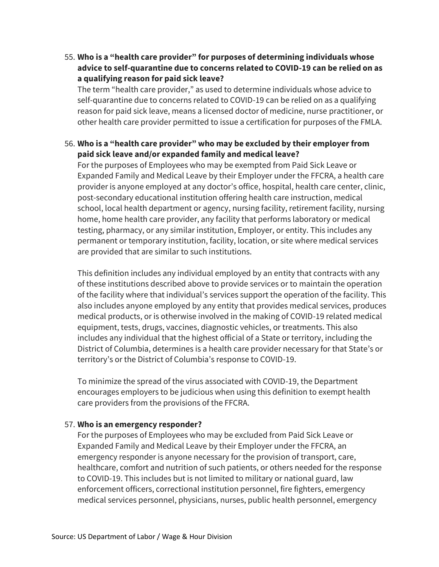55. **Who is a "health care provider" for purposes of determining individuals whose advice to self-quarantine due to concerns related to COVID-19 can be relied on as a qualifying reason for paid sick leave?**

The term "health care provider," as used to determine individuals whose advice to self-quarantine due to concerns related to COVID-19 can be relied on as a qualifying reason for paid sick leave, means a licensed doctor of medicine, nurse practitioner, or other health care provider permitted to issue a certification for purposes of the FMLA.

# 56. **Who is a "health care provider" who may be excluded by their employer from paid sick leave and/or expanded family and medical leave?**

For the purposes of Employees who may be exempted from Paid Sick Leave or Expanded Family and Medical Leave by their Employer under the FFCRA, a health care provider is anyone employed at any doctor's office, hospital, health care center, clinic, post-secondary educational institution offering health care instruction, medical school, local health department or agency, nursing facility, retirement facility, nursing home, home health care provider, any facility that performs laboratory or medical testing, pharmacy, or any similar institution, Employer, or entity. This includes any permanent or temporary institution, facility, location, or site where medical services are provided that are similar to such institutions.

This definition includes any individual employed by an entity that contracts with any of these institutions described above to provide services or to maintain the operation of the facility where that individual's services support the operation of the facility. This also includes anyone employed by any entity that provides medical services, produces medical products, or is otherwise involved in the making of COVID-19 related medical equipment, tests, drugs, vaccines, diagnostic vehicles, or treatments. This also includes any individual that the highest official of a State or territory, including the District of Columbia, determines is a health care provider necessary for that State's or territory's or the District of Columbia's response to COVID-19.

To minimize the spread of the virus associated with COVID-19, the Department encourages employers to be judicious when using this definition to exempt health care providers from the provisions of the FFCRA.

#### 57. **Who is an emergency responder?**

For the purposes of Employees who may be excluded from Paid Sick Leave or Expanded Family and Medical Leave by their Employer under the FFCRA, an emergency responder is anyone necessary for the provision of transport, care, healthcare, comfort and nutrition of such patients, or others needed for the response to COVID-19. This includes but is not limited to military or national guard, law enforcement officers, correctional institution personnel, fire fighters, emergency medical services personnel, physicians, nurses, public health personnel, emergency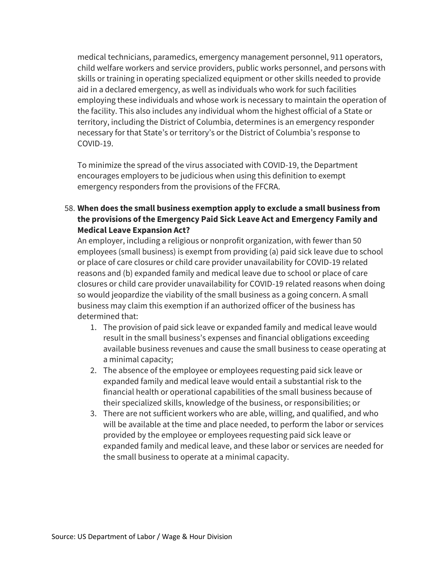medical technicians, paramedics, emergency management personnel, 911 operators, child welfare workers and service providers, public works personnel, and persons with skills or training in operating specialized equipment or other skills needed to provide aid in a declared emergency, as well as individuals who work for such facilities employing these individuals and whose work is necessary to maintain the operation of the facility. This also includes any individual whom the highest official of a State or territory, including the District of Columbia, determines is an emergency responder necessary for that State's or territory's or the District of Columbia's response to COVID-19.

To minimize the spread of the virus associated with COVID-19, the Department encourages employers to be judicious when using this definition to exempt emergency responders from the provisions of the FFCRA.

# 58. **When does the small business exemption apply to exclude a small business from the provisions of the Emergency Paid Sick Leave Act and Emergency Family and Medical Leave Expansion Act?**

An employer, including a religious or nonprofit organization, with fewer than 50 employees (small business) is exempt from providing (a) paid sick leave due to school or place of care closures or child care provider unavailability for COVID-19 related reasons and (b) expanded family and medical leave due to school or place of care closures or child care provider unavailability for COVID-19 related reasons when doing so would jeopardize the viability of the small business as a going concern. A small business may claim this exemption if an authorized officer of the business has determined that:

- 1. The provision of paid sick leave or expanded family and medical leave would result in the small business's expenses and financial obligations exceeding available business revenues and cause the small business to cease operating at a minimal capacity;
- 2. The absence of the employee or employees requesting paid sick leave or expanded family and medical leave would entail a substantial risk to the financial health or operational capabilities of the small business because of their specialized skills, knowledge of the business, or responsibilities; or
- 3. There are not sufficient workers who are able, willing, and qualified, and who will be available at the time and place needed, to perform the labor or services provided by the employee or employees requesting paid sick leave or expanded family and medical leave, and these labor or services are needed for the small business to operate at a minimal capacity.